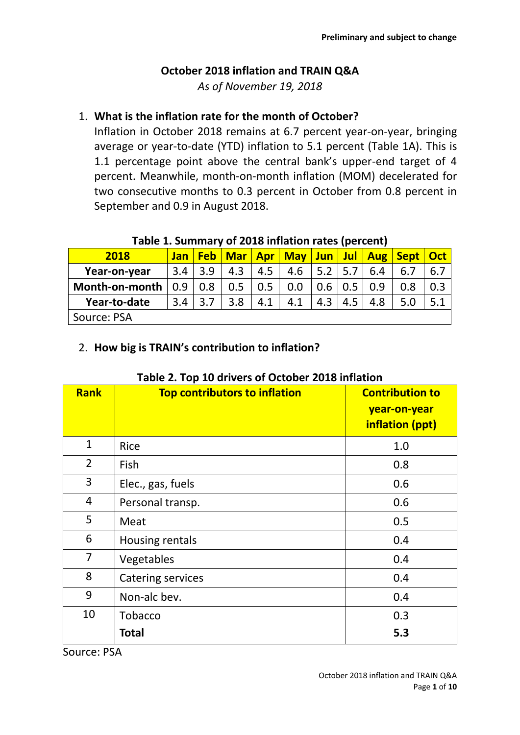# **October 2018 inflation and TRAIN Q&A**

*As of November 19, 2018*

## 1. **What is the inflation rate for the month of October?**

Inflation in October 2018 remains at 6.7 percent year-on-year, bringing average or year-to-date (YTD) inflation to 5.1 percent (Table 1A). This is 1.1 percentage point above the central bank's upper-end target of 4 percent. Meanwhile, month-on-month inflation (MOM) decelerated for two consecutive months to 0.3 percent in October from 0.8 percent in September and 0.9 in August 2018.

| Table 1. Julianual V UL 2010 INTIGUUN TALES (DEL CENT) |     |             |     |     |     |                   |             |     |                                                            |     |
|--------------------------------------------------------|-----|-------------|-----|-----|-----|-------------------|-------------|-----|------------------------------------------------------------|-----|
| 2018                                                   |     |             |     |     |     |                   |             |     | Jan   Feb   Mar   Apr   May   Jun   Jul   Aug   Sept   Oct |     |
| Year-on-year                                           | 3.4 | 3.9         | 4.3 | 4.5 |     | $4.6$   5.2   5.7 |             | 6.4 | 6.7                                                        | 6.7 |
| Month-on-month $\vert 0.9 \vert 0.8 \vert$             |     |             | 0.5 | 0.5 | 0.0 | $0.6$   0.5       |             | 0.9 | 0.8                                                        |     |
| Year-to-date                                           |     | $3.4$   3.7 | 3.8 | 4.1 | 4.1 |                   | $4.3$   4.5 | 4.8 | 5.0                                                        | 5.1 |
| Source: PSA                                            |     |             |     |     |     |                   |             |     |                                                            |     |

## **Table 1. Summary of 2018 inflation rates (percent)**

#### 2. **How big is TRAIN's contribution to inflation?**

| <b>Rank</b>    | <b>Top contributors to inflation</b> | <b>Contribution to</b><br>year-on-year<br>inflation (ppt) |
|----------------|--------------------------------------|-----------------------------------------------------------|
| $\mathbf{1}$   | Rice                                 | 1.0                                                       |
| $\overline{2}$ | Fish                                 | 0.8                                                       |
| 3              | Elec., gas, fuels                    | 0.6                                                       |
| 4              | Personal transp.                     | 0.6                                                       |
| 5              | Meat                                 | 0.5                                                       |
| 6              | Housing rentals                      | 0.4                                                       |
| 7              | Vegetables                           | 0.4                                                       |
| 8              | <b>Catering services</b>             | 0.4                                                       |
| 9              | Non-alc bev.                         | 0.4                                                       |
| 10             | Tobacco                              | 0.3                                                       |
|                | <b>Total</b>                         | 5.3                                                       |

#### **Table 2. Top 10 drivers of October 2018 inflation**

Source: PSA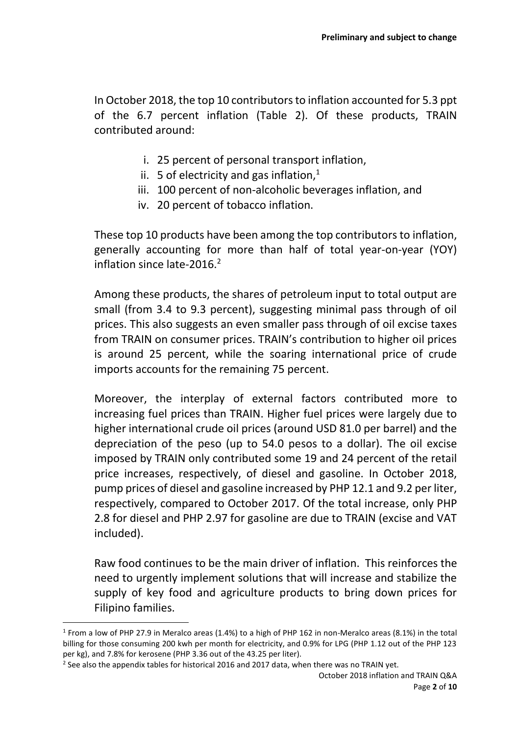In October 2018, the top 10 contributors to inflation accounted for 5.3 ppt of the 6.7 percent inflation (Table 2). Of these products, TRAIN contributed around:

- i. 25 percent of personal transport inflation,
- ii. 5 of electricity and gas inflation, $<sup>1</sup>$ </sup>
- iii. 100 percent of non-alcoholic beverages inflation, and
- iv. 20 percent of tobacco inflation.

These top 10 products have been among the top contributors to inflation, generally accounting for more than half of total year-on-year (YOY) inflation since late-2016.<sup>2</sup>

Among these products, the shares of petroleum input to total output are small (from 3.4 to 9.3 percent), suggesting minimal pass through of oil prices. This also suggests an even smaller pass through of oil excise taxes from TRAIN on consumer prices. TRAIN's contribution to higher oil prices is around 25 percent, while the soaring international price of crude imports accounts for the remaining 75 percent.

Moreover, the interplay of external factors contributed more to increasing fuel prices than TRAIN. Higher fuel prices were largely due to higher international crude oil prices (around USD 81.0 per barrel) and the depreciation of the peso (up to 54.0 pesos to a dollar). The oil excise imposed by TRAIN only contributed some 19 and 24 percent of the retail price increases, respectively, of diesel and gasoline. In October 2018, pump prices of diesel and gasoline increased by PHP 12.1 and 9.2 per liter, respectively, compared to October 2017. Of the total increase, only PHP 2.8 for diesel and PHP 2.97 for gasoline are due to TRAIN (excise and VAT included).

Raw food continues to be the main driver of inflation. This reinforces the need to urgently implement solutions that will increase and stabilize the supply of key food and agriculture products to bring down prices for Filipino families.

**.** 

<sup>&</sup>lt;sup>1</sup> From a low of PHP 27.9 in Meralco areas (1.4%) to a high of PHP 162 in non-Meralco areas (8.1%) in the total billing for those consuming 200 kwh per month for electricity, and 0.9% for LPG (PHP 1.12 out of the PHP 123 per kg), and 7.8% for kerosene (PHP 3.36 out of the 43.25 per liter).

 $^2$  See also the appendix tables for historical 2016 and 2017 data, when there was no TRAIN yet.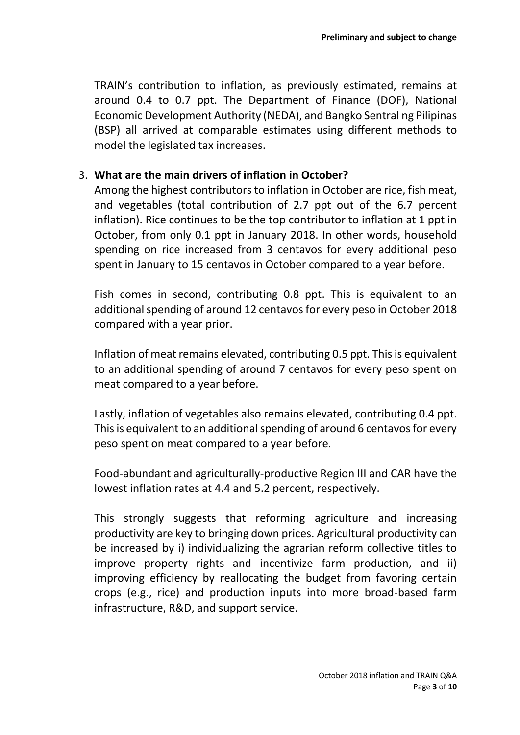TRAIN's contribution to inflation, as previously estimated, remains at around 0.4 to 0.7 ppt. The Department of Finance (DOF), National Economic Development Authority (NEDA), and Bangko Sentral ng Pilipinas (BSP) all arrived at comparable estimates using different methods to model the legislated tax increases.

#### 3. **What are the main drivers of inflation in October?**

Among the highest contributors to inflation in October are rice, fish meat, and vegetables (total contribution of 2.7 ppt out of the 6.7 percent inflation). Rice continues to be the top contributor to inflation at 1 ppt in October, from only 0.1 ppt in January 2018. In other words, household spending on rice increased from 3 centavos for every additional peso spent in January to 15 centavos in October compared to a year before.

Fish comes in second, contributing 0.8 ppt. This is equivalent to an additional spending of around 12 centavos for every peso in October 2018 compared with a year prior.

Inflation of meat remains elevated, contributing 0.5 ppt. This is equivalent to an additional spending of around 7 centavos for every peso spent on meat compared to a year before.

Lastly, inflation of vegetables also remains elevated, contributing 0.4 ppt. This is equivalent to an additional spending of around 6 centavos for every peso spent on meat compared to a year before.

Food-abundant and agriculturally-productive Region III and CAR have the lowest inflation rates at 4.4 and 5.2 percent, respectively.

This strongly suggests that reforming agriculture and increasing productivity are key to bringing down prices. Agricultural productivity can be increased by i) individualizing the agrarian reform collective titles to improve property rights and incentivize farm production, and ii) improving efficiency by reallocating the budget from favoring certain crops (e.g., rice) and production inputs into more broad-based farm infrastructure, R&D, and support service.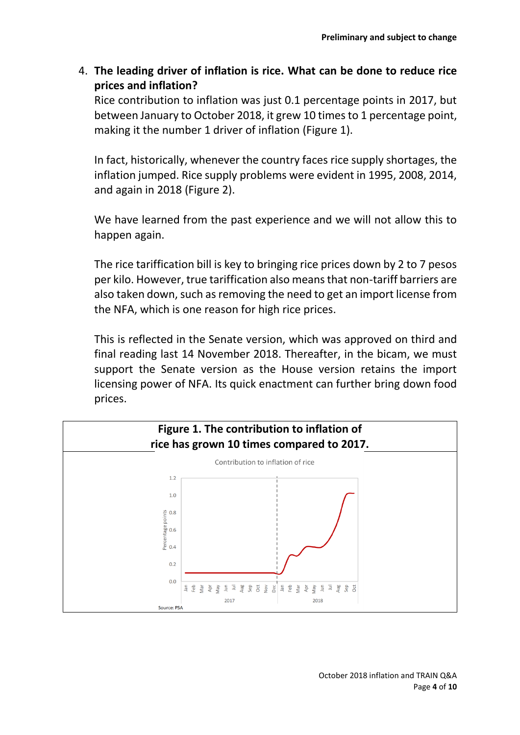4. **The leading driver of inflation is rice. What can be done to reduce rice prices and inflation?** 

Rice contribution to inflation was just 0.1 percentage points in 2017, but between January to October 2018, it grew 10 times to 1 percentage point, making it the number 1 driver of inflation (Figure 1).

In fact, historically, whenever the country faces rice supply shortages, the inflation jumped. Rice supply problems were evident in 1995, 2008, 2014, and again in 2018 (Figure 2).

We have learned from the past experience and we will not allow this to happen again.

The rice tariffication bill is key to bringing rice prices down by 2 to 7 pesos per kilo. However, true tariffication also means that non-tariff barriers are also taken down, such as removing the need to get an import license from the NFA, which is one reason for high rice prices.

This is reflected in the Senate version, which was approved on third and final reading last 14 November 2018. Thereafter, in the bicam, we must support the Senate version as the House version retains the import licensing power of NFA. Its quick enactment can further bring down food prices.

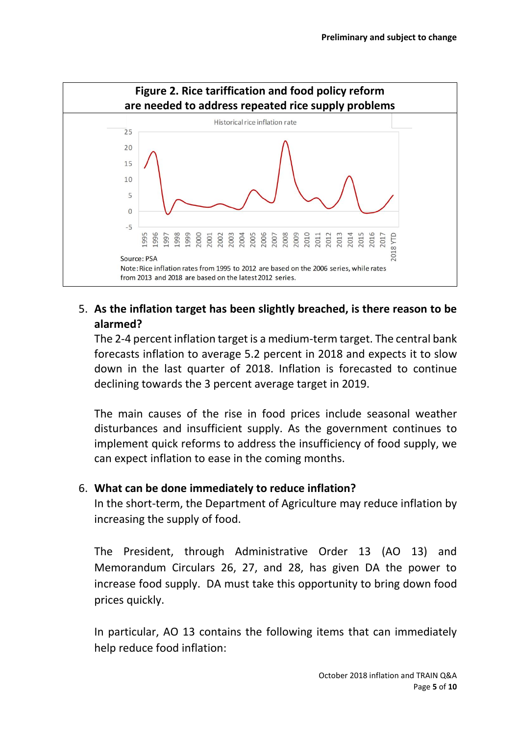

# 5. **As the inflation target has been slightly breached, is there reason to be alarmed?**

The 2-4 percent inflation target is a medium-term target. The central bank forecasts inflation to average 5.2 percent in 2018 and expects it to slow down in the last quarter of 2018. Inflation is forecasted to continue declining towards the 3 percent average target in 2019.

The main causes of the rise in food prices include seasonal weather disturbances and insufficient supply. As the government continues to implement quick reforms to address the insufficiency of food supply, we can expect inflation to ease in the coming months.

## 6. **What can be done immediately to reduce inflation?**

In the short-term, the Department of Agriculture may reduce inflation by increasing the supply of food.

The President, through Administrative Order 13 (AO 13) and Memorandum Circulars 26, 27, and 28, has given DA the power to increase food supply. DA must take this opportunity to bring down food prices quickly.

In particular, AO 13 contains the following items that can immediately help reduce food inflation: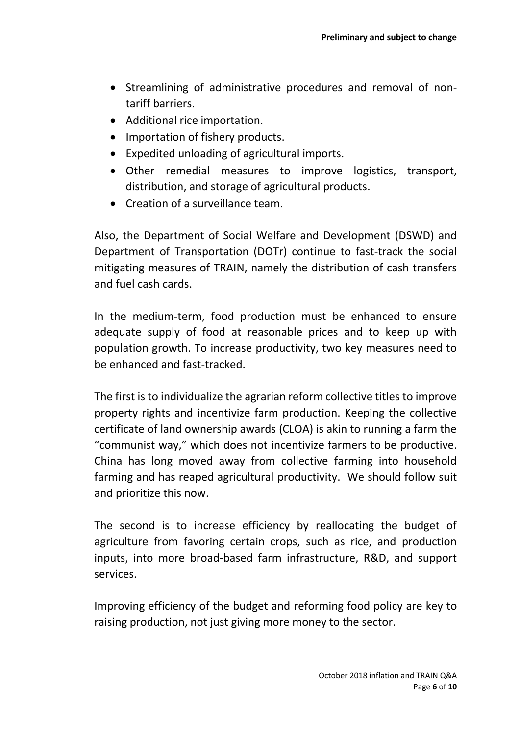- Streamlining of administrative procedures and removal of nontariff barriers.
- Additional rice importation.
- Importation of fishery products.
- Expedited unloading of agricultural imports.
- Other remedial measures to improve logistics, transport, distribution, and storage of agricultural products.
- Creation of a surveillance team.

Also, the Department of Social Welfare and Development (DSWD) and Department of Transportation (DOTr) continue to fast-track the social mitigating measures of TRAIN, namely the distribution of cash transfers and fuel cash cards.

In the medium-term, food production must be enhanced to ensure adequate supply of food at reasonable prices and to keep up with population growth. To increase productivity, two key measures need to be enhanced and fast-tracked.

The first is to individualize the agrarian reform collective titles to improve property rights and incentivize farm production. Keeping the collective certificate of land ownership awards (CLOA) is akin to running a farm the "communist way," which does not incentivize farmers to be productive. China has long moved away from collective farming into household farming and has reaped agricultural productivity. We should follow suit and prioritize this now.

The second is to increase efficiency by reallocating the budget of agriculture from favoring certain crops, such as rice, and production inputs, into more broad-based farm infrastructure, R&D, and support services.

Improving efficiency of the budget and reforming food policy are key to raising production, not just giving more money to the sector.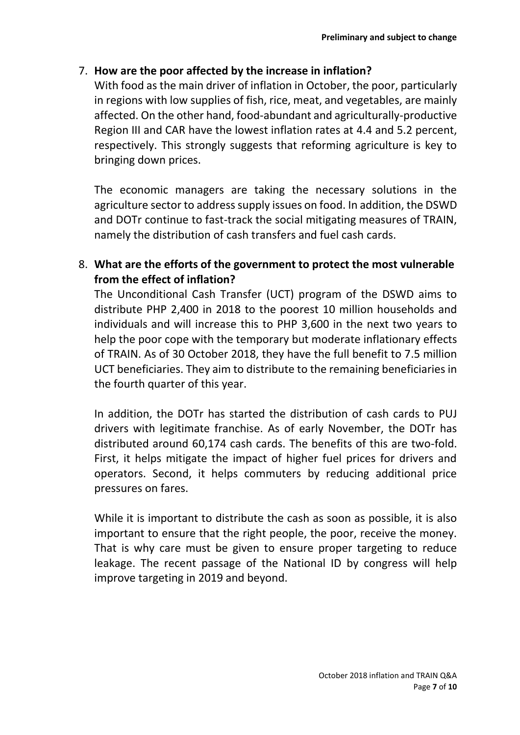## 7. **How are the poor affected by the increase in inflation?**

With food as the main driver of inflation in October, the poor, particularly in regions with low supplies of fish, rice, meat, and vegetables, are mainly affected. On the other hand, food-abundant and agriculturally-productive Region III and CAR have the lowest inflation rates at 4.4 and 5.2 percent, respectively. This strongly suggests that reforming agriculture is key to bringing down prices.

The economic managers are taking the necessary solutions in the agriculture sector to address supply issues on food. In addition, the DSWD and DOTr continue to fast-track the social mitigating measures of TRAIN, namely the distribution of cash transfers and fuel cash cards.

# 8. **What are the efforts of the government to protect the most vulnerable from the effect of inflation?**

The Unconditional Cash Transfer (UCT) program of the DSWD aims to distribute PHP 2,400 in 2018 to the poorest 10 million households and individuals and will increase this to PHP 3,600 in the next two years to help the poor cope with the temporary but moderate inflationary effects of TRAIN. As of 30 October 2018, they have the full benefit to 7.5 million UCT beneficiaries. They aim to distribute to the remaining beneficiaries in the fourth quarter of this year.

In addition, the DOTr has started the distribution of cash cards to PUJ drivers with legitimate franchise. As of early November, the DOTr has distributed around 60,174 cash cards. The benefits of this are two-fold. First, it helps mitigate the impact of higher fuel prices for drivers and operators. Second, it helps commuters by reducing additional price pressures on fares.

While it is important to distribute the cash as soon as possible, it is also important to ensure that the right people, the poor, receive the money. That is why care must be given to ensure proper targeting to reduce leakage. The recent passage of the National ID by congress will help improve targeting in 2019 and beyond.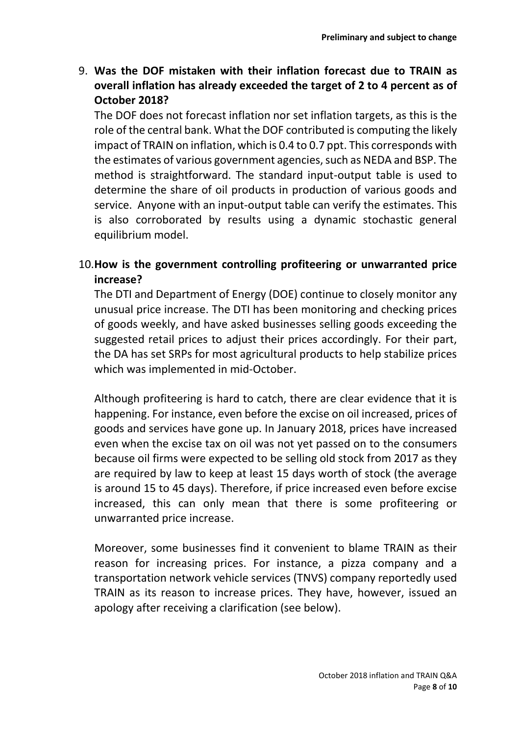9. **Was the DOF mistaken with their inflation forecast due to TRAIN as overall inflation has already exceeded the target of 2 to 4 percent as of October 2018?**

The DOF does not forecast inflation nor set inflation targets, as this is the role of the central bank. What the DOF contributed is computing the likely impact of TRAIN on inflation, which is 0.4 to 0.7 ppt. This corresponds with the estimates of various government agencies, such as NEDA and BSP. The method is straightforward. The standard input-output table is used to determine the share of oil products in production of various goods and service. Anyone with an input-output table can verify the estimates. This is also corroborated by results using a dynamic stochastic general equilibrium model.

## 10.**How is the government controlling profiteering or unwarranted price increase?**

The DTI and Department of Energy (DOE) continue to closely monitor any unusual price increase. The DTI has been monitoring and checking prices of goods weekly, and have asked businesses selling goods exceeding the suggested retail prices to adjust their prices accordingly. For their part, the DA has set SRPs for most agricultural products to help stabilize prices which was implemented in mid-October.

Although profiteering is hard to catch, there are clear evidence that it is happening. For instance, even before the excise on oil increased, prices of goods and services have gone up. In January 2018, prices have increased even when the excise tax on oil was not yet passed on to the consumers because oil firms were expected to be selling old stock from 2017 as they are required by law to keep at least 15 days worth of stock (the average is around 15 to 45 days). Therefore, if price increased even before excise increased, this can only mean that there is some profiteering or unwarranted price increase.

Moreover, some businesses find it convenient to blame TRAIN as their reason for increasing prices. For instance, a pizza company and a transportation network vehicle services (TNVS) company reportedly used TRAIN as its reason to increase prices. They have, however, issued an apology after receiving a clarification (see below).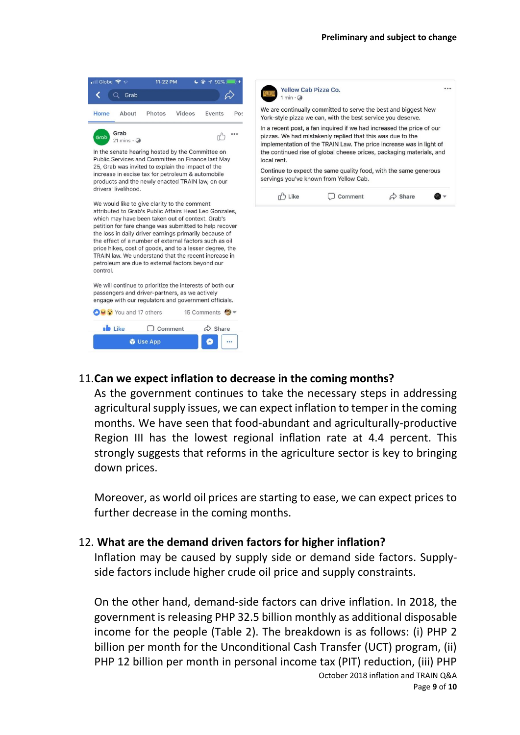



#### 11.**Can we expect inflation to decrease in the coming months?**

As the government continues to take the necessary steps in addressing agricultural supply issues, we can expect inflation to temper in the coming months. We have seen that food-abundant and agriculturally-productive Region III has the lowest regional inflation rate at 4.4 percent. This strongly suggests that reforms in the agriculture sector is key to bringing down prices.

Moreover, as world oil prices are starting to ease, we can expect prices to further decrease in the coming months.

#### 12. **What are the demand driven factors for higher inflation?**

Inflation may be caused by supply side or demand side factors. Supplyside factors include higher crude oil price and supply constraints.

October 2018 inflation and TRAIN Q&A On the other hand, demand-side factors can drive inflation. In 2018, the government is releasing PHP 32.5 billion monthly as additional disposable income for the people (Table 2). The breakdown is as follows: (i) PHP 2 billion per month for the Unconditional Cash Transfer (UCT) program, (ii) PHP 12 billion per month in personal income tax (PIT) reduction, (iii) PHP